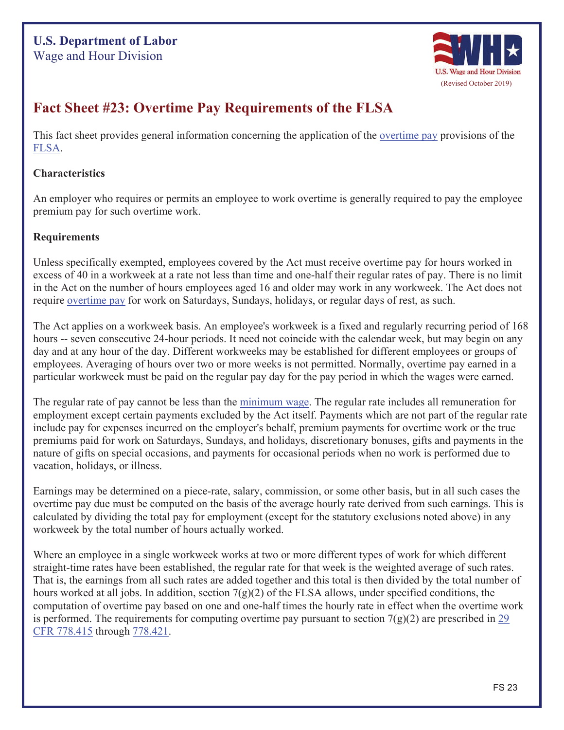### **U.S. Department of Labor**  Wage and Hour Division



## **Fact Sheet #23: Overtime Pay Requirements of the FLSA**

This fact sheet provides general information concerning the application of the <u>overtime pay</u> provisions of the FLSA.

#### **Characteristics**

An employer who requires or permits an employee to work overtime is generally required to pay the employee premium pay for such overtime work.

#### **Requirements**

Unless specifically exempted, employees covered by the Act must receive overtime pay for hours worked in excess of 40 in a workweek at a rate not less than time and one-half their regular rates of pay. There is no limit in the Act on the number of hours employees aged 16 and older may work in any workweek. The Act does not require overtime pay for work on Saturdays, Sundays, holidays, or regular days of rest, as such.

The Act applies on a workweek basis. An employee's workweek is a fixed and regularly recurring period of 168 hours -- seven consecutive 24-hour periods. It need not coincide with the calendar week, but may begin on any day and at any hour of the day. Different workweeks may be established for different employees or groups of employees. Averaging of hours over two or more weeks is not permitted. Normally, overtime pay earned in a particular workweek must be paid on the regular pay day for the pay period in which the wages were earned.

The regular rate of pay cannot be less than the minimum wage. The regular rate includes all remuneration for employment except certain payments excluded by the Act itself. Payments which are not part of the regular rate include pay for expenses incurred on the employer's behalf, premium payments for overtime work or the true premiums paid for work on Saturdays, Sundays, and holidays, discretionary bonuses, gifts and payments in the nature of gifts on special occasions, and payments for occasional periods when no work is performed due to vacation, holidays, or illness.

Earnings may be determined on a piece-rate, salary, commission, or some other basis, but in all such cases the overtime pay due must be computed on the basis of the average hourly rate derived from such earnings. This is calculated by dividing the total pay for employment (except for the statutory exclusions noted above) in any workweek by the total number of hours actually worked.

Where an employee in a single workweek works at two or more different types of work for which different straight-time rates have been established, the regular rate for that week is the weighted average of such rates. That is, the earnings from all such rates are added together and this total is then divided by the total number of hours worked at all jobs. In addition, section  $7(g)(2)$  of the FLSA allows, under specified conditions, the computation of overtime pay based on one and one-half times the hourly rate in effect when the overtime work is performed. The requirements for computing overtime pay pursuant to section  $7(g)(2)$  are prescribed in 29 CFR 778.415 through 778.421.